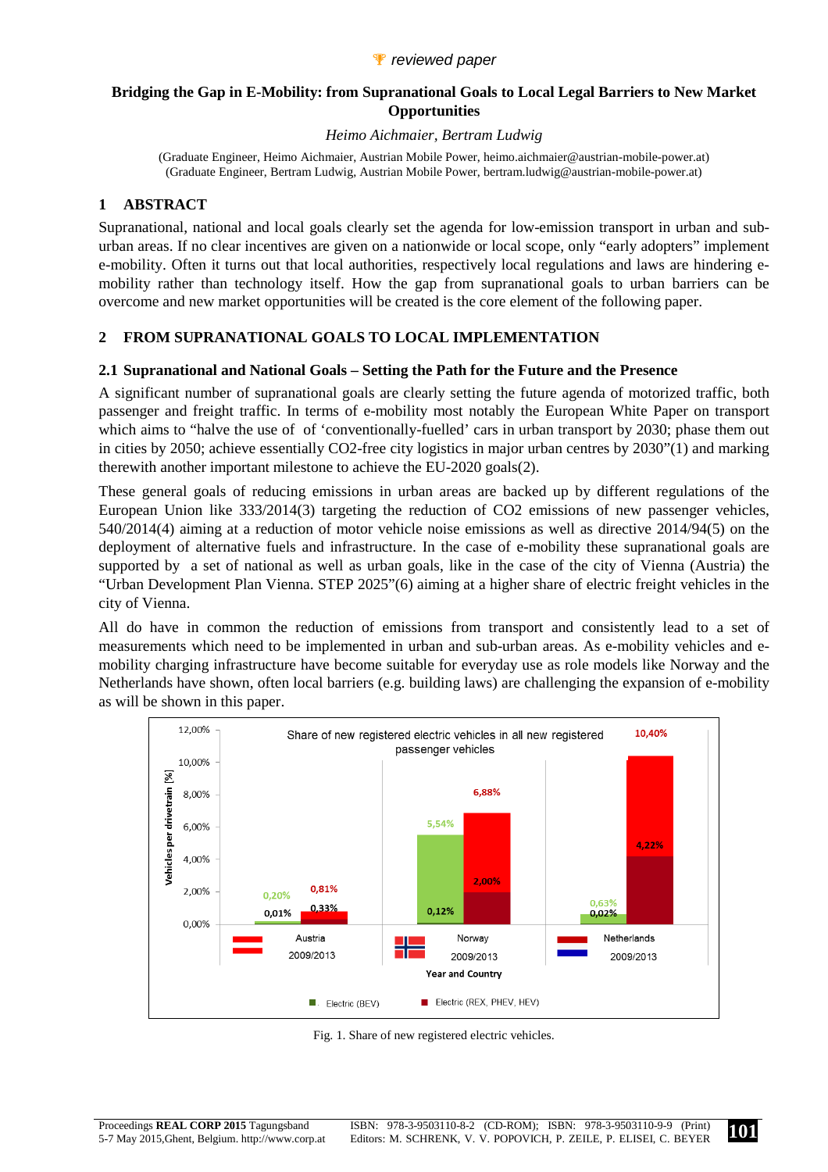### *P* reviewed paper

### **Bridging the Gap in E-Mobility: from Supranational Goals to Local Legal Barriers to New Market Opportunities**

*Heimo Aichmaier, Bertram Ludwig* 

(Graduate Engineer, Heimo Aichmaier, Austrian Mobile Power, heimo.aichmaier@austrian-mobile-power.at) (Graduate Engineer, Bertram Ludwig, Austrian Mobile Power, bertram.ludwig@austrian-mobile-power.at)

## **1 ABSTRACT**

Supranational, national and local goals clearly set the agenda for low-emission transport in urban and suburban areas. If no clear incentives are given on a nationwide or local scope, only "early adopters" implement e-mobility. Often it turns out that local authorities, respectively local regulations and laws are hindering emobility rather than technology itself. How the gap from supranational goals to urban barriers can be overcome and new market opportunities will be created is the core element of the following paper.

# **2 FROM SUPRANATIONAL GOALS TO LOCAL IMPLEMENTATION**

#### **2.1 Supranational and National Goals – Setting the Path for the Future and the Presence**

A significant number of supranational goals are clearly setting the future agenda of motorized traffic, both passenger and freight traffic. In terms of e-mobility most notably the European White Paper on transport which aims to "halve the use of of 'conventionally-fuelled' cars in urban transport by 2030; phase them out in cities by 2050; achieve essentially CO2-free city logistics in major urban centres by 2030"(1) and marking therewith another important milestone to achieve the EU-2020 goals(2).

These general goals of reducing emissions in urban areas are backed up by different regulations of the European Union like 333/2014(3) targeting the reduction of CO2 emissions of new passenger vehicles, 540/2014(4) aiming at a reduction of motor vehicle noise emissions as well as directive 2014/94(5) on the deployment of alternative fuels and infrastructure. In the case of e-mobility these supranational goals are supported by a set of national as well as urban goals, like in the case of the city of Vienna (Austria) the "Urban Development Plan Vienna. STEP 2025"(6) aiming at a higher share of electric freight vehicles in the city of Vienna.

All do have in common the reduction of emissions from transport and consistently lead to a set of measurements which need to be implemented in urban and sub-urban areas. As e-mobility vehicles and emobility charging infrastructure have become suitable for everyday use as role models like Norway and the Netherlands have shown, often local barriers (e.g. building laws) are challenging the expansion of e-mobility as will be shown in this paper.



Fig. 1. Share of new registered electric vehicles.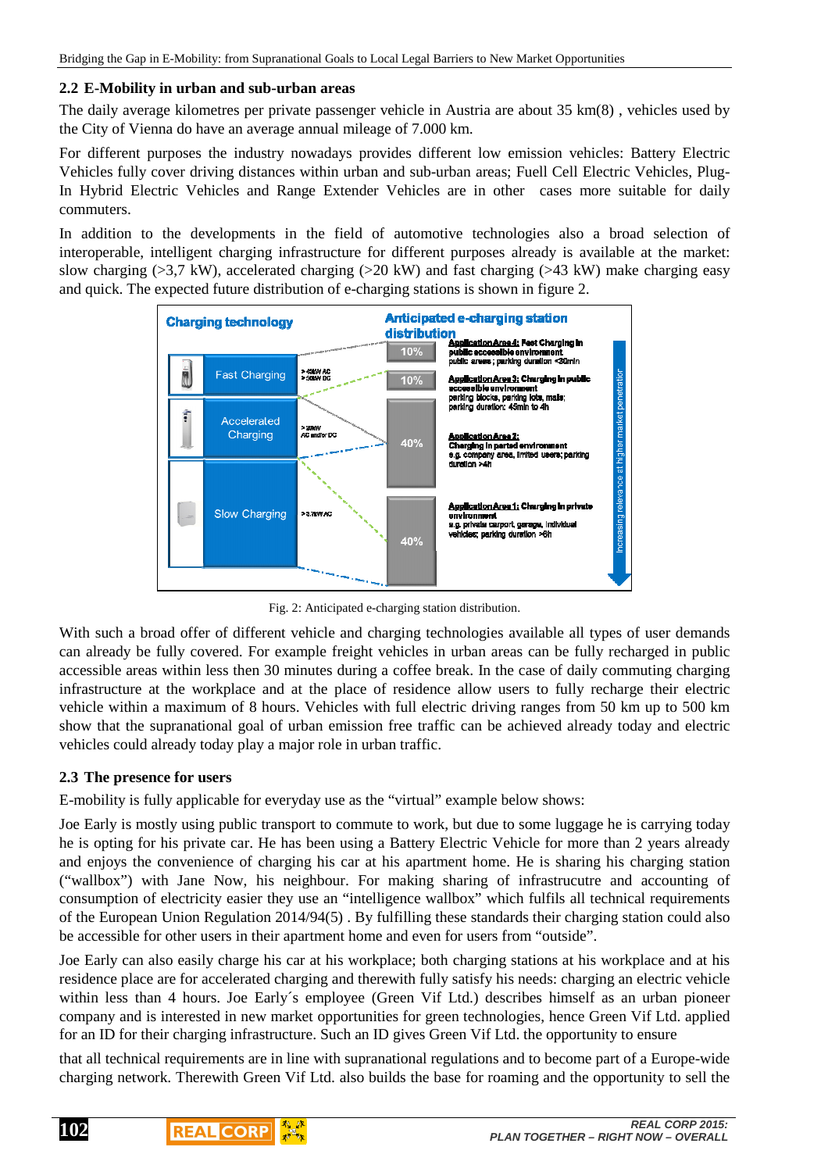#### **2.2 E-Mobility in urban and sub-urban areas**

The daily average kilometres per private passenger vehicle in Austria are about 35 km(8) , vehicles used by the City of Vienna do have an average annual mileage of 7.000 km.

For different purposes the industry nowadays provides different low emission vehicles: Battery Electric Vehicles fully cover driving distances within urban and sub-urban areas; Fuell Cell Electric Vehicles, Plug-In Hybrid Electric Vehicles and Range Extender Vehicles are in other cases more suitable for daily commuters.

In addition to the developments in the field of automotive technologies also a broad selection of interoperable, intelligent charging infrastructure for different purposes already is available at the market: slow charging (>3,7 kW), accelerated charging (>20 kW) and fast charging (>43 kW) make charging easy and quick. The expected future distribution of e-charging stations is shown in figure 2.



Fig. 2: Anticipated e-charging station distribution.

With such a broad offer of different vehicle and charging technologies available all types of user demands can already be fully covered. For example freight vehicles in urban areas can be fully recharged in public accessible areas within less then 30 minutes during a coffee break. In the case of daily commuting charging infrastructure at the workplace and at the place of residence allow users to fully recharge their electric vehicle within a maximum of 8 hours. Vehicles with full electric driving ranges from 50 km up to 500 km show that the supranational goal of urban emission free traffic can be achieved already today and electric vehicles could already today play a major role in urban traffic.

#### **2.3 The presence for users**

E-mobility is fully applicable for everyday use as the "virtual" example below shows:

Joe Early is mostly using public transport to commute to work, but due to some luggage he is carrying today he is opting for his private car. He has been using a Battery Electric Vehicle for more than 2 years already and enjoys the convenience of charging his car at his apartment home. He is sharing his charging station ("wallbox") with Jane Now, his neighbour. For making sharing of infrastrucutre and accounting of consumption of electricity easier they use an "intelligence wallbox" which fulfils all technical requirements of the European Union Regulation 2014/94(5) . By fulfilling these standards their charging station could also be accessible for other users in their apartment home and even for users from "outside".

Joe Early can also easily charge his car at his workplace; both charging stations at his workplace and at his residence place are for accelerated charging and therewith fully satisfy his needs: charging an electric vehicle within less than 4 hours. Joe Early´s employee (Green Vif Ltd.) describes himself as an urban pioneer company and is interested in new market opportunities for green technologies, hence Green Vif Ltd. applied for an ID for their charging infrastructure. Such an ID gives Green Vif Ltd. the opportunity to ensure

that all technical requirements are in line with supranational regulations and to become part of a Europe-wide charging network. Therewith Green Vif Ltd. also builds the base for roaming and the opportunity to sell the

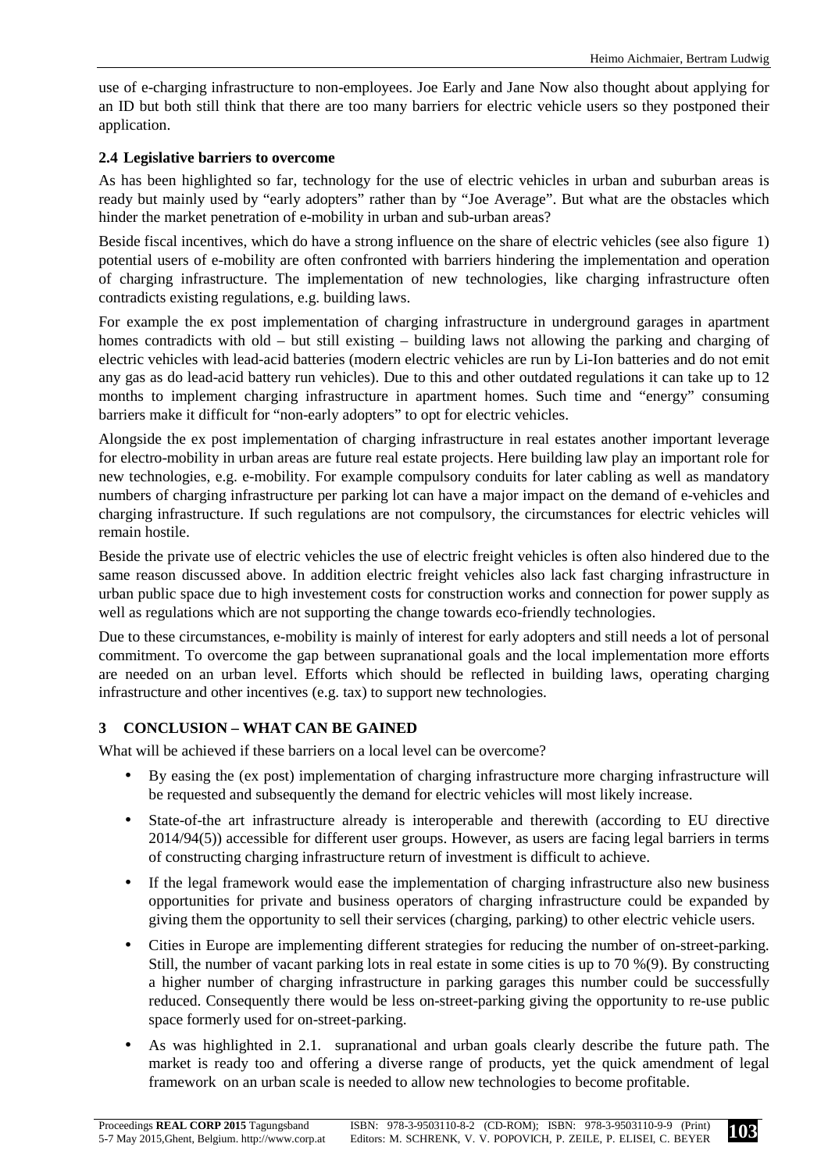use of e-charging infrastructure to non-employees. Joe Early and Jane Now also thought about applying for an ID but both still think that there are too many barriers for electric vehicle users so they postponed their application.

## **2.4 Legislative barriers to overcome**

As has been highlighted so far, technology for the use of electric vehicles in urban and suburban areas is ready but mainly used by "early adopters" rather than by "Joe Average". But what are the obstacles which hinder the market penetration of e-mobility in urban and sub-urban areas?

Beside fiscal incentives, which do have a strong influence on the share of electric vehicles (see also figure 1) potential users of e-mobility are often confronted with barriers hindering the implementation and operation of charging infrastructure. The implementation of new technologies, like charging infrastructure often contradicts existing regulations, e.g. building laws.

For example the ex post implementation of charging infrastructure in underground garages in apartment homes contradicts with old – but still existing – building laws not allowing the parking and charging of electric vehicles with lead-acid batteries (modern electric vehicles are run by Li-Ion batteries and do not emit any gas as do lead-acid battery run vehicles). Due to this and other outdated regulations it can take up to 12 months to implement charging infrastructure in apartment homes. Such time and "energy" consuming barriers make it difficult for "non-early adopters" to opt for electric vehicles.

Alongside the ex post implementation of charging infrastructure in real estates another important leverage for electro-mobility in urban areas are future real estate projects. Here building law play an important role for new technologies, e.g. e-mobility. For example compulsory conduits for later cabling as well as mandatory numbers of charging infrastructure per parking lot can have a major impact on the demand of e-vehicles and charging infrastructure. If such regulations are not compulsory, the circumstances for electric vehicles will remain hostile.

Beside the private use of electric vehicles the use of electric freight vehicles is often also hindered due to the same reason discussed above. In addition electric freight vehicles also lack fast charging infrastructure in urban public space due to high investement costs for construction works and connection for power supply as well as regulations which are not supporting the change towards eco-friendly technologies.

Due to these circumstances, e-mobility is mainly of interest for early adopters and still needs a lot of personal commitment. To overcome the gap between supranational goals and the local implementation more efforts are needed on an urban level. Efforts which should be reflected in building laws, operating charging infrastructure and other incentives (e.g. tax) to support new technologies.

# **3 CONCLUSION – WHAT CAN BE GAINED**

What will be achieved if these barriers on a local level can be overcome?

- By easing the (ex post) implementation of charging infrastructure more charging infrastructure will be requested and subsequently the demand for electric vehicles will most likely increase.
- State-of-the art infrastructure already is interoperable and therewith (according to EU directive 2014/94(5)) accessible for different user groups. However, as users are facing legal barriers in terms of constructing charging infrastructure return of investment is difficult to achieve.
- If the legal framework would ease the implementation of charging infrastructure also new business opportunities for private and business operators of charging infrastructure could be expanded by giving them the opportunity to sell their services (charging, parking) to other electric vehicle users.
- Cities in Europe are implementing different strategies for reducing the number of on-street-parking. Still, the number of vacant parking lots in real estate in some cities is up to 70 %(9). By constructing a higher number of charging infrastructure in parking garages this number could be successfully reduced. Consequently there would be less on-street-parking giving the opportunity to re-use public space formerly used for on-street-parking.
- As was highlighted in 2.1. supranational and urban goals clearly describe the future path. The market is ready too and offering a diverse range of products, yet the quick amendment of legal framework on an urban scale is needed to allow new technologies to become profitable.